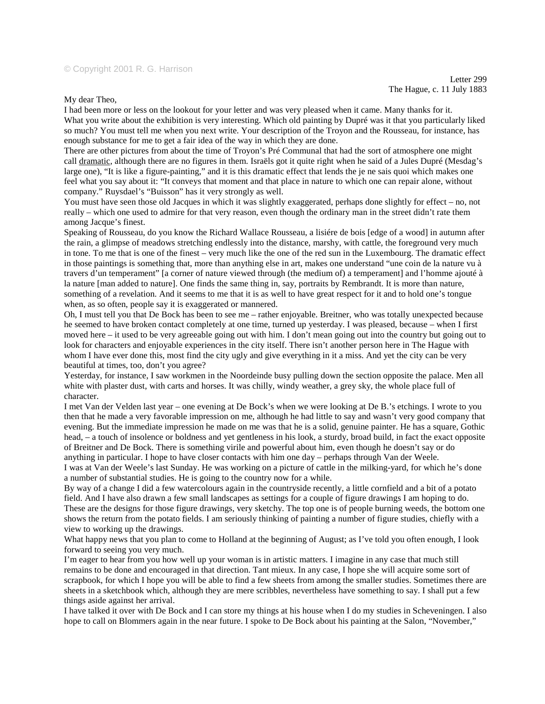My dear Theo,

I had been more or less on the lookout for your letter and was very pleased when it came. Many thanks for it. What you write about the exhibition is very interesting. Which old painting by Dupré was it that you particularly liked so much? You must tell me when you next write. Your description of the Troyon and the Rousseau, for instance, has enough substance for me to get a fair idea of the way in which they are done.

There are other pictures from about the time of Troyon's Pré Communal that had the sort of atmosphere one might call dramatic*,* although there are no figures in them. Israëls got it quite right when he said of a Jules Dupré (Mesdag's large one), "It is like a figure-painting," and it is this dramatic effect that lends the je ne sais quoi which makes one feel what you say about it: "It conveys that moment and that place in nature to which one can repair alone, without company." Ruysdael's "Buisson" has it very strongly as well.

You must have seen those old Jacques in which it was slightly exaggerated, perhaps done slightly for effect – no, not really – which one used to admire for that very reason, even though the ordinary man in the street didn't rate them among Jacque's finest.

Speaking of Rousseau, do you know the Richard Wallace Rousseau, a lisiére de bois [edge of a wood] in autumn after the rain, a glimpse of meadows stretching endlessly into the distance, marshy, with cattle, the foreground very much in tone. To me that is one of the finest – very much like the one of the red sun in the Luxembourg. The dramatic effect in those paintings is something that, more than anything else in art, makes one understand "une coin de la nature vu à travers d'un temperament" [a corner of nature viewed through (the medium of) a temperament] and l'homme ajouté à la nature [man added to nature]. One finds the same thing in, say, portraits by Rembrandt. It is more than nature, something of a revelation. And it seems to me that it is as well to have great respect for it and to hold one's tongue when, as so often, people say it is exaggerated or mannered.

Oh, I must tell you that De Bock has been to see me – rather enjoyable. Breitner, who was totally unexpected because he seemed to have broken contact completely at one time, turned up yesterday. I was pleased, because – when I first moved here – it used to be very agreeable going out with him. I don't mean going out into the country but going out to look for characters and enjoyable experiences in the city itself. There isn't another person here in The Hague with whom I have ever done this, most find the city ugly and give everything in it a miss. And yet the city can be very beautiful at times, too, don't you agree?

Yesterday, for instance, I saw workmen in the Noordeinde busy pulling down the section opposite the palace. Men all white with plaster dust, with carts and horses. It was chilly, windy weather, a grey sky, the whole place full of character.

I met Van der Velden last year – one evening at De Bock's when we were looking at De B.'s etchings. I wrote to you then that he made a very favorable impression on me, although he had little to say and wasn't very good company that evening. But the immediate impression he made on me was that he is a solid, genuine painter. He has a square, Gothic head, – a touch of insolence or boldness and yet gentleness in his look, a sturdy, broad build, in fact the exact opposite of Breitner and De Bock. There is something virile and powerful about him, even though he doesn't say or do anything in particular. I hope to have closer contacts with him one day – perhaps through Van der Weele.

I was at Van der Weele's last Sunday. He was working on a picture of cattle in the milking-yard, for which he's done a number of substantial studies. He is going to the country now for a while.

By way of a change I did a few watercolours again in the countryside recently, a little cornfield and a bit of a potato field. And I have also drawn a few small landscapes as settings for a couple of figure drawings I am hoping to do. These are the designs for those figure drawings, very sketchy. The top one is of people burning weeds, the bottom one shows the return from the potato fields. I am seriously thinking of painting a number of figure studies, chiefly with a view to working up the drawings.

What happy news that you plan to come to Holland at the beginning of August; as I've told you often enough, I look forward to seeing you very much.

I'm eager to hear from you how well up your woman is in artistic matters. I imagine in any case that much still remains to be done and encouraged in that direction. Tant mieux. In any case, I hope she will acquire some sort of scrapbook, for which I hope you will be able to find a few sheets from among the smaller studies. Sometimes there are sheets in a sketchbook which, although they are mere scribbles, nevertheless have something to say. I shall put a few things aside against her arrival.

I have talked it over with De Bock and I can store my things at his house when I do my studies in Scheveningen. I also hope to call on Blommers again in the near future. I spoke to De Bock about his painting at the Salon, "November,"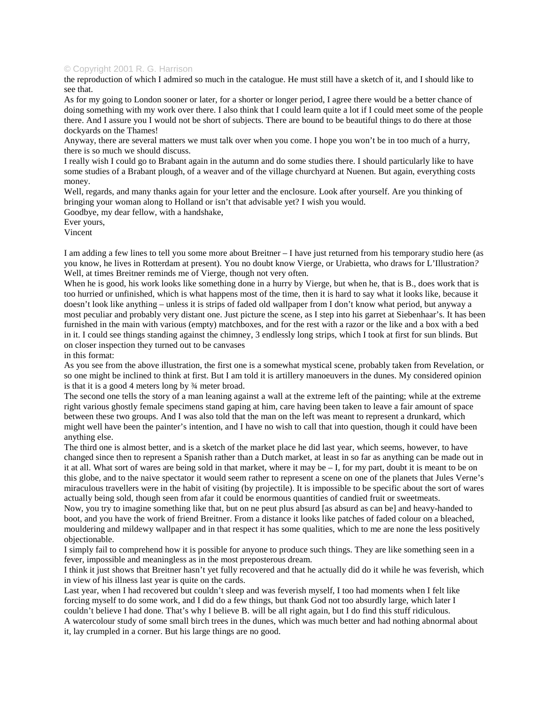## © Copyright 2001 R. G. Harrison

the reproduction of which I admired so much in the catalogue. He must still have a sketch of it, and I should like to see that.

As for my going to London sooner or later, for a shorter or longer period, I agree there would be a better chance of doing something with my work over there. I also think that I could learn quite a lot if I could meet some of the people there. And I assure you I would not be short of subjects. There are bound to be beautiful things to do there at those dockyards on the Thames!

Anyway, there are several matters we must talk over when you come. I hope you won't be in too much of a hurry, there is so much we should discuss.

I really wish I could go to Brabant again in the autumn and do some studies there. I should particularly like to have some studies of a Brabant plough, of a weaver and of the village churchyard at Nuenen. But again, everything costs money.

Well, regards, and many thanks again for your letter and the enclosure. Look after yourself. Are you thinking of bringing your woman along to Holland or isn't that advisable yet? I wish you would.

Goodbye, my dear fellow, with a handshake,

Ever yours,

Vincent

I am adding a few lines to tell you some more about Breitner – I have just returned from his temporary studio here (as you know, he lives in Rotterdam at present). You no doubt know Vierge, or Urabietta, who draws for L'Illustration*?* Well, at times Breitner reminds me of Vierge, though not very often.

When he is good, his work looks like something done in a hurry by Vierge, but when he, that is B., does work that is too hurried or unfinished, which is what happens most of the time, then it is hard to say what it looks like, because it doesn't look like anything – unless it is strips of faded old wallpaper from I don't know what period, but anyway a most peculiar and probably very distant one. Just picture the scene, as I step into his garret at Siebenhaar's. It has been furnished in the main with various (empty) matchboxes, and for the rest with a razor or the like and a box with a bed in it. I could see things standing against the chimney, 3 endlessly long strips, which I took at first for sun blinds. But on closer inspection they turned out to be canvases

in this format:

As you see from the above illustration, the first one is a somewhat mystical scene, probably taken from Revelation, or so one might be inclined to think at first. But I am told it is artillery manoeuvers in the dunes. My considered opinion is that it is a good 4 meters long by ¾ meter broad.

The second one tells the story of a man leaning against a wall at the extreme left of the painting; while at the extreme right various ghostly female specimens stand gaping at him, care having been taken to leave a fair amount of space between these two groups. And I was also told that the man on the left was meant to represent a drunkard, which might well have been the painter's intention, and I have no wish to call that into question, though it could have been anything else.

The third one is almost better, and is a sketch of the market place he did last year, which seems, however, to have changed since then to represent a Spanish rather than a Dutch market, at least in so far as anything can be made out in it at all. What sort of wares are being sold in that market, where it may be – I, for my part, doubt it is meant to be on this globe, and to the naive spectator it would seem rather to represent a scene on one of the planets that Jules Verne's miraculous travellers were in the habit of visiting (by projectile). It is impossible to be specific about the sort of wares actually being sold, though seen from afar it could be enormous quantities of candied fruit or sweetmeats.

Now, you try to imagine something like that, but on ne peut plus absurd [as absurd as can be] and heavy-handed to boot, and you have the work of friend Breitner. From a distance it looks like patches of faded colour on a bleached, mouldering and mildewy wallpaper and in that respect it has some qualities, which to me are none the less positively objectionable.

I simply fail to comprehend how it is possible for anyone to produce such things. They are like something seen in a fever, impossible and meaningless as in the most preposterous dream.

I think it just shows that Breitner hasn't yet fully recovered and that he actually did do it while he was feverish, which in view of his illness last year is quite on the cards.

Last year, when I had recovered but couldn't sleep and was feverish myself, I too had moments when I felt like forcing myself to do some work, and I did do a few things, but thank God not too absurdly large, which later I couldn't believe I had done. That's why I believe B. will be all right again, but I do find this stuff ridiculous.

A watercolour study of some small birch trees in the dunes, which was much better and had nothing abnormal about it, lay crumpled in a corner. But his large things are no good.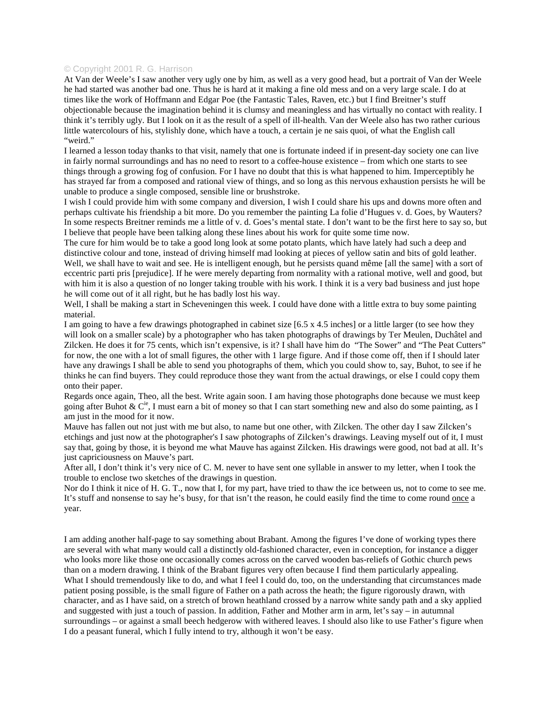## © Copyright 2001 R. G. Harrison

At Van der Weele's I saw another very ugly one by him, as well as a very good head, but a portrait of Van der Weele he had started was another bad one. Thus he is hard at it making a fine old mess and on a very large scale. I do at times like the work of Hoffmann and Edgar Poe (the Fantastic Tales*,* Raven, etc.) but I find Breitner's stuff objectionable because the imagination behind it is clumsy and meaningless and has virtually no contact with reality. I think it's terribly ugly. But I look on it as the result of a spell of ill-health. Van der Weele also has two rather curious little watercolours of his, stylishly done, which have a touch, a certain je ne sais quoi, of what the English call "weird."

I learned a lesson today thanks to that visit, namely that one is fortunate indeed if in present-day society one can live in fairly normal surroundings and has no need to resort to a coffee-house existence – from which one starts to see things through a growing fog of confusion. For I have no doubt that this is what happened to him. Imperceptibly he has strayed far from a composed and rational view of things, and so long as this nervous exhaustion persists he will be unable to produce a single composed, sensible line or brushstroke.

I wish I could provide him with some company and diversion, I wish I could share his ups and downs more often and perhaps cultivate his friendship a bit more. Do you remember the painting La folie d'Hugues v. d. Goes, by Wauters? In some respects Breitner reminds me a little of v. d. Goes's mental state. I don't want to be the first here to say so, but I believe that people have been talking along these lines about his work for quite some time now.

The cure for him would be to take a good long look at some potato plants, which have lately had such a deep and distinctive colour and tone, instead of driving himself mad looking at pieces of yellow satin and bits of gold leather. Well, we shall have to wait and see. He is intelligent enough, but he persists quand même [all the same] with a sort of eccentric parti pris [prejudice]. If he were merely departing from normality with a rational motive, well and good, but with him it is also a question of no longer taking trouble with his work. I think it is a very bad business and just hope he will come out of it all right, but he has badly lost his way.

Well, I shall be making a start in Scheveningen this week. I could have done with a little extra to buy some painting material.

I am going to have a few drawings photographed in cabinet size [6.5 x 4.5 inches] or a little larger (to see how they will look on a smaller scale) by a photographer who has taken photographs of drawings by Ter Meulen, Duchâtel and Zilcken. He does it for 75 cents, which isn't expensive, is it? I shall have him do "The Sower" and "The Peat Cutters" for now, the one with a lot of small figures, the other with 1 large figure. And if those come off, then if I should later have any drawings I shall be able to send you photographs of them, which you could show to, say, Buhot, to see if he thinks he can find buyers. They could reproduce those they want from the actual drawings, or else I could copy them onto their paper.

Regards once again, Theo, all the best. Write again soon. I am having those photographs done because we must keep going after Buhot &  $C^{ie}$ , I must earn a bit of money so that I can start something new and also do some painting, as I am just in the mood for it now.

Mauve has fallen out not just with me but also, to name but one other, with Zilcken. The other day I saw Zilcken's etchings and just now at the photographer's I saw photographs of Zilcken's drawings. Leaving myself out of it, I must say that, going by those, it is beyond me what Mauve has against Zilcken. His drawings were good, not bad at all. It's just capriciousness on Mauve's part.

After all, I don't think it's very nice of C. M. never to have sent one syllable in answer to my letter, when I took the trouble to enclose two sketches of the drawings in question.

Nor do I think it nice of H. G. T., now that I, for my part, have tried to thaw the ice between us, not to come to see me. It's stuff and nonsense to say he's busy, for that isn't the reason, he could easily find the time to come round once a year.

I am adding another half-page to say something about Brabant. Among the figures I've done of working types there are several with what many would call a distinctly old-fashioned character, even in conception, for instance a digger who looks more like those one occasionally comes across on the carved wooden bas-reliefs of Gothic church pews than on a modern drawing. I think of the Brabant figures very often because I find them particularly appealing. What I should tremendously like to do, and what I feel I could do, too, on the understanding that circumstances made patient posing possible, is the small figure of Father on a path across the heath; the figure rigorously drawn, with character, and as I have said, on a stretch of brown heathland crossed by a narrow white sandy path and a sky applied and suggested with just a touch of passion. In addition, Father and Mother arm in arm, let's say – in autumnal surroundings – or against a small beech hedgerow with withered leaves. I should also like to use Father's figure when I do a peasant funeral, which I fully intend to try, although it won't be easy.